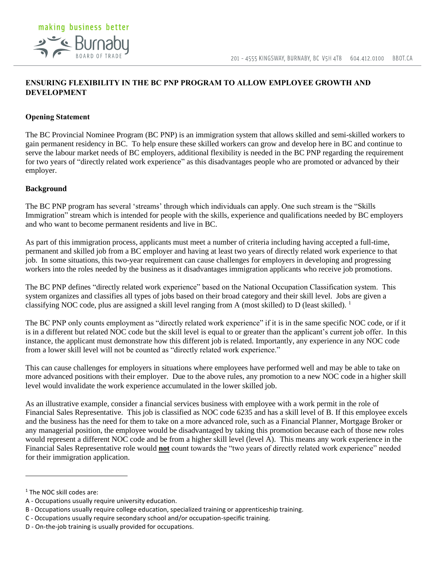# making business better **2<sup>-</sup>C** Burnabu

## **ENSURING FLEXIBILITY IN THE BC PNP PROGRAM TO ALLOW EMPLOYEE GROWTH AND DEVELOPMENT**

# **Opening Statement**

The BC Provincial Nominee Program (BC PNP) is an immigration system that allows skilled and semi-skilled workers to gain permanent residency in BC. To help ensure these skilled workers can grow and develop here in BC and continue to serve the labour market needs of BC employers, additional flexibility is needed in the BC PNP regarding the requirement for two years of "directly related work experience" as this disadvantages people who are promoted or advanced by their employer.

## **Background**

The BC PNP program has several 'streams' through which individuals can apply. One such stream is the "Skills Immigration" stream which is intended for people with the skills, experience and qualifications needed by BC employers and who want to become permanent residents and live in BC.

As part of this immigration process, applicants must meet a number of criteria including having accepted a full-time, permanent and skilled job from a BC employer and having at least two years of directly related work experience to that job. In some situations, this two-year requirement can cause challenges for employers in developing and progressing workers into the roles needed by the business as it disadvantages immigration applicants who receive job promotions.

The BC PNP defines "directly related work experience" based on the National Occupation Classification system. This system organizes and classifies all types of jobs based on their broad category and their skill level. Jobs are given a classifying NOC code, plus are assigned a skill level ranging from A (most skilled) to D (least skilled).  $\frac{1}{1}$ 

The BC PNP only counts employment as "directly related work experience" if it is in the same specific NOC code, or if it is in a different but related NOC code but the skill level is equal to or greater than the applicant's current job offer. In this instance, the applicant must demonstrate how this different job is related. Importantly, any experience in any NOC code from a lower skill level will not be counted as "directly related work experience."

This can cause challenges for employers in situations where employees have performed well and may be able to take on more advanced positions with their employer. Due to the above rules, any promotion to a new NOC code in a higher skill level would invalidate the work experience accumulated in the lower skilled job.

As an illustrative example, consider a financial services business with employee with a work permit in the role of Financial Sales Representative. This job is classified as NOC code 6235 and has a skill level of B. If this employee excels and the business has the need for them to take on a more advanced role, such as a Financial Planner, Mortgage Broker or any managerial position, the employee would be disadvantaged by taking this promotion because each of those new roles would represent a different NOC code and be from a higher skill level (level A). This means any work experience in the Financial Sales Representative role would **not** count towards the "two years of directly related work experience" needed for their immigration application.

<sup>&</sup>lt;sup>1</sup> The NOC skill codes are:

A - Occupations usually require university education.

B - Occupations usually require college education, specialized training or apprenticeship training.

C - Occupations usually require secondary school and/or occupation-specific training.

D - On-the-job training is usually provided for occupations.